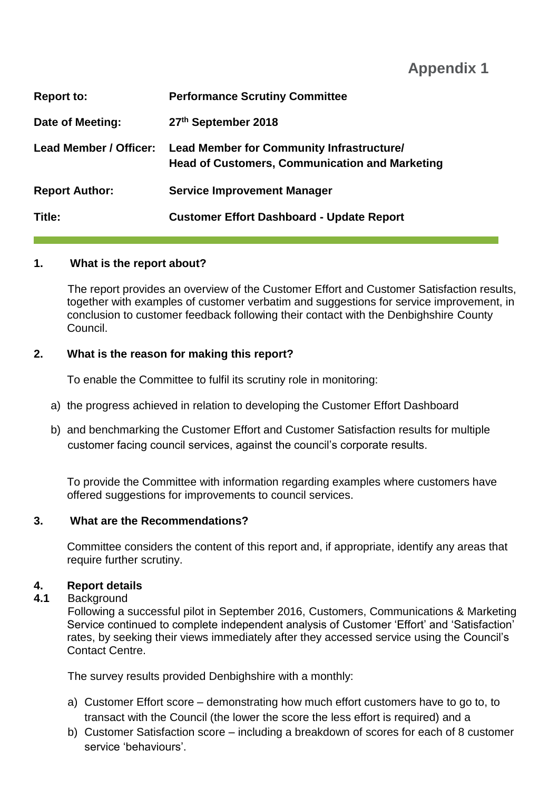**Appendix 1**

| <b>Report to:</b>             | <b>Performance Scrutiny Committee</b>                                                                     |
|-------------------------------|-----------------------------------------------------------------------------------------------------------|
| Date of Meeting:              | 27th September 2018                                                                                       |
| <b>Lead Member / Officer:</b> | <b>Lead Member for Community Infrastructure/</b><br><b>Head of Customers, Communication and Marketing</b> |
| <b>Report Author:</b>         | <b>Service Improvement Manager</b>                                                                        |
| Title:                        | <b>Customer Effort Dashboard - Update Report</b>                                                          |

### **1. What is the report about?**

The report provides an overview of the Customer Effort and Customer Satisfaction results, together with examples of customer verbatim and suggestions for service improvement, in conclusion to customer feedback following their contact with the Denbighshire County Council.

### **2. What is the reason for making this report?**

To enable the Committee to fulfil its scrutiny role in monitoring:

- a) the progress achieved in relation to developing the Customer Effort Dashboard
- b) and benchmarking the Customer Effort and Customer Satisfaction results for multiple customer facing council services, against the council's corporate results.

To provide the Committee with information regarding examples where customers have offered suggestions for improvements to council services.

#### **3. What are the Recommendations?**

Committee considers the content of this report and, if appropriate, identify any areas that require further scrutiny.

#### **4. Report details**

#### **4.1** Background

Following a successful pilot in September 2016, Customers, Communications & Marketing Service continued to complete independent analysis of Customer 'Effort' and 'Satisfaction' rates, by seeking their views immediately after they accessed service using the Council's Contact Centre.

The survey results provided Denbighshire with a monthly:

- a) Customer Effort score demonstrating how much effort customers have to go to, to transact with the Council (the lower the score the less effort is required) and a
- b) Customer Satisfaction score including a breakdown of scores for each of 8 customer service 'behaviours'.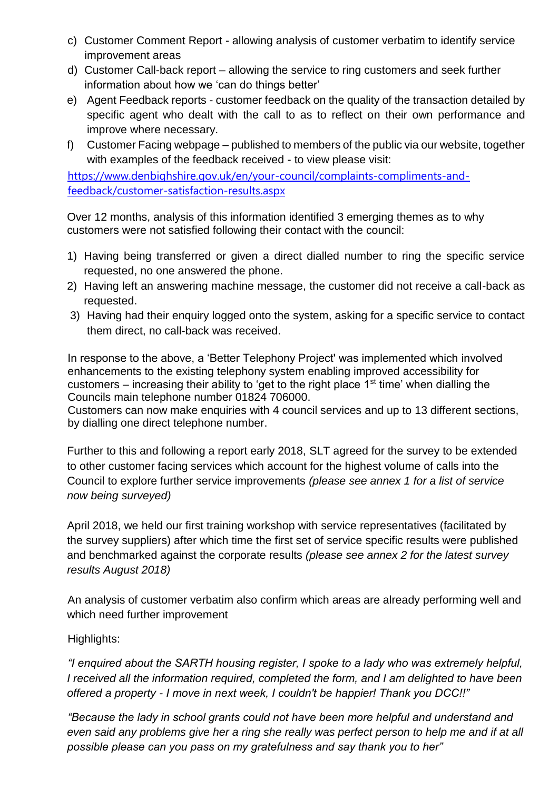- c) Customer Comment Report allowing analysis of customer verbatim to identify service improvement areas
- d) Customer Call-back report allowing the service to ring customers and seek further information about how we 'can do things better'
- e) Agent Feedback reports customer feedback on the quality of the transaction detailed by specific agent who dealt with the call to as to reflect on their own performance and improve where necessary.
- f) Customer Facing webpage published to members of the public via our website, together with examples of the feedback received - to view please visit:

[https://www.denbighshire.gov.uk/en/your-council/complaints-compliments-and](https://www.denbighshire.gov.uk/en/your-council/complaints-compliments-and-feedback/customer-satisfaction-results.aspx)[feedback/customer-satisfaction-results.aspx](https://www.denbighshire.gov.uk/en/your-council/complaints-compliments-and-feedback/customer-satisfaction-results.aspx) 

Over 12 months, analysis of this information identified 3 emerging themes as to why customers were not satisfied following their contact with the council:

- 1) Having being transferred or given a direct dialled number to ring the specific service requested, no one answered the phone.
- 2) Having left an answering machine message, the customer did not receive a call-back as requested.
- 3) Having had their enquiry logged onto the system, asking for a specific service to contact them direct, no call-back was received.

In response to the above, a 'Better Telephony Project' was implemented which involved enhancements to the existing telephony system enabling improved accessibility for customers – increasing their ability to 'get to the right place  $1<sup>st</sup>$  time' when dialling the Councils main telephone number 01824 706000.

Customers can now make enquiries with 4 council services and up to 13 different sections, by dialling one direct telephone number.

Further to this and following a report early 2018, SLT agreed for the survey to be extended to other customer facing services which account for the highest volume of calls into the Council to explore further service improvements *(please see annex 1 for a list of service now being surveyed)*

April 2018, we held our first training workshop with service representatives (facilitated by the survey suppliers) after which time the first set of service specific results were published and benchmarked against the corporate results *(please see annex 2 for the latest survey results August 2018)* 

An analysis of customer verbatim also confirm which areas are already performing well and which need further improvement

### Highlights:

*"I enquired about the SARTH housing register, I spoke to a lady who was extremely helpful, I received all the information required, completed the form, and I am delighted to have been offered a property - I move in next week, I couldn't be happier! Thank you DCC!!"*

*"Because the lady in school grants could not have been more helpful and understand and even said any problems give her a ring she really was perfect person to help me and if at all possible please can you pass on my gratefulness and say thank you to her"*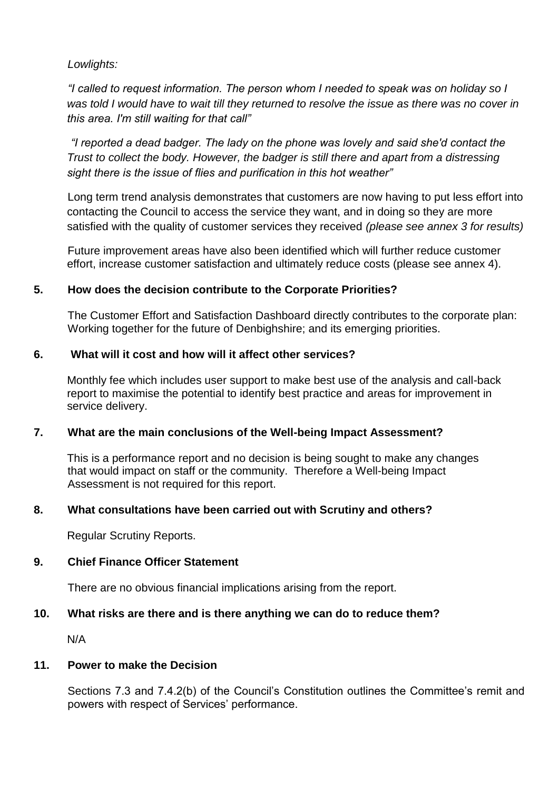*Lowlights:*

*"I called to request information. The person whom I needed to speak was on holiday so I was told I would have to wait till they returned to resolve the issue as there was no cover in this area. I'm still waiting for that call"* 

*"I reported a dead badger. The lady on the phone was lovely and said she'd contact the Trust to collect the body. However, the badger is still there and apart from a distressing sight there is the issue of flies and purification in this hot weather"* 

Long term trend analysis demonstrates that customers are now having to put less effort into contacting the Council to access the service they want, and in doing so they are more satisfied with the quality of customer services they received *(please see annex 3 for results)*

Future improvement areas have also been identified which will further reduce customer effort, increase customer satisfaction and ultimately reduce costs (please see annex 4).

### **5. How does the decision contribute to the Corporate Priorities?**

The Customer Effort and Satisfaction Dashboard directly contributes to the corporate plan: Working together for the future of Denbighshire; and its emerging priorities.

### **6. What will it cost and how will it affect other services?**

Monthly fee which includes user support to make best use of the analysis and call-back report to maximise the potential to identify best practice and areas for improvement in service delivery.

### **7. What are the main conclusions of the Well-being Impact Assessment?**

This is a performance report and no decision is being sought to make any changes that would impact on staff or the community. Therefore a Well-being Impact Assessment is not required for this report.

### **8. What consultations have been carried out with Scrutiny and others?**

Regular Scrutiny Reports.

### **9. Chief Finance Officer Statement**

There are no obvious financial implications arising from the report.

### **10. What risks are there and is there anything we can do to reduce them?**

N/A

### **11. Power to make the Decision**

Sections 7.3 and 7.4.2(b) of the Council's Constitution outlines the Committee's remit and powers with respect of Services' performance.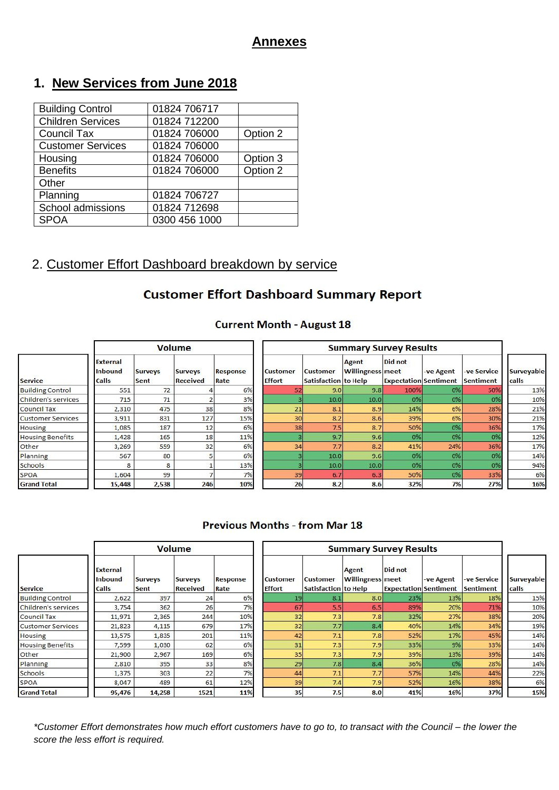### **Annexes**

# **1. New Services from June 2018**

| <b>Building Control</b>  | 01824 706717  |          |
|--------------------------|---------------|----------|
| <b>Children Services</b> | 01824 712200  |          |
| Council Tax              | 01824 706000  | Option 2 |
| <b>Customer Services</b> | 01824 706000  |          |
| Housing                  | 01824 706000  | Option 3 |
| <b>Benefits</b>          | 01824 706000  | Option 2 |
| Other                    |               |          |
| Planning                 | 01824 706727  |          |
| School admissions        | 01824 712698  |          |
| <b>SPOA</b>              | 0300 456 1000 |          |

# 2. Customer Effort Dashboard breakdown by service

### **Customer Effort Dashboard Summary Report**

#### **Current Month - August 18**

| <b>Service</b>           | External<br><b>Inbound</b><br>Calls | <b>Surveys</b><br>Sent | <b>Surveys</b><br><b>Received</b> | Response<br>Rate | <b>Customer</b><br><b>Effort</b> | <b>Customer</b><br>Satisfaction to Help | <b>Agent</b><br><b>Willingness</b> meet | Did not<br><b>Expectation Sentiment</b> | -ve Agent | -ve Service<br>Sentiment | <b>Surveyable</b><br>calls |
|--------------------------|-------------------------------------|------------------------|-----------------------------------|------------------|----------------------------------|-----------------------------------------|-----------------------------------------|-----------------------------------------|-----------|--------------------------|----------------------------|
| <b>Building Control</b>  | 551                                 | 72                     |                                   | 6%               | 52                               | 9.0                                     | 9.8                                     | 100%                                    | 0%        | 50%                      | 13%                        |
| Children's services      | 715                                 | 71                     |                                   | 3%               |                                  | 10.0 <sub>1</sub>                       | 10.0                                    | 0%                                      | 0%        | 0%                       | 10%                        |
| <b>Council Tax</b>       | 2,310                               | 475                    | 38                                | 8%               | 21                               | 8.1                                     | 8.9                                     | 14%                                     | 6%        | 28%                      | 21%                        |
| <b>Customer Services</b> | 3,911                               | 831                    | 127                               | 15%              | 30                               | 8.2                                     | 8.6                                     | 39%                                     | 6%        | 30%                      | 21%                        |
| Housing                  | 1,085                               | 187                    | 12                                | 6%               | 38                               | 7.5                                     | 8.7                                     | 50%                                     | 0%        | 36%                      | 17%                        |
| <b>Housing Benefits</b>  | 1,428                               | 165                    | 18                                | 11%              |                                  | 9.7                                     | 9.6                                     | 0%                                      | 0%        | 0%                       | 12%                        |
| Other                    | 3,269                               | 559                    | 32                                | 6%               | 34                               | 7.7                                     | 8.2                                     | 41%                                     | 24%       | 36%                      | 17%                        |
| Planning                 | 567                                 | 80                     |                                   | 6%               |                                  | 10.0                                    | 9.6                                     | 0%                                      | 0%        | 0%                       | 14%                        |
| Schools                  | 8                                   | 8                      |                                   | 13%              |                                  | 10.0                                    | 10.0                                    | 0%                                      | 0%        | 0%                       | 94%                        |
| SPOA                     | 1,604                               | 99                     |                                   | 7%               | 39                               | 6.7                                     | 6.3                                     | 50%                                     | 0%        | 33%                      | 6%                         |
| <b>Grand Total</b>       | 15,448                              | 2,538                  | 246                               | 10%              | 26                               | 8.2                                     | 8.6                                     | 32%                                     | 7%        | 27%                      | 16%                        |

#### **Previous Months - from Mar 18**

| <b>Service</b>           | External<br>Inbound<br>Calls | <b>Surveys</b><br>Sent | <b>Surveys</b><br><b>Received</b> | <b>Response</b><br>Rate | <b>Customer</b><br><b>Effort</b> | Customer<br>Satisfaction to Help | Agent<br><b>Willingness</b> meet | Did not<br><b>Expectation Sentiment</b> | -ve Agent | -ve Service<br>Sentiment | Surveyable<br>calls |
|--------------------------|------------------------------|------------------------|-----------------------------------|-------------------------|----------------------------------|----------------------------------|----------------------------------|-----------------------------------------|-----------|--------------------------|---------------------|
| <b>Building Control</b>  | 2,622                        | 397                    | 24                                | 6%                      | 19                               | 8.1                              | 8.0                              | 23%                                     | 13%       | 18%                      | 15%                 |
| Children's services      | 3,754                        | 362                    | 26                                | 7%                      | 67                               | 5.5                              | 6.5                              | 89%                                     | 20%       | 71%                      | 10%                 |
| <b>Council Tax</b>       | 11,971                       | 2,365                  | 244                               | 10%                     | 32 <sub>1</sub>                  | 7.3                              | 7.8                              | 32%                                     | 27%       | 38%                      | 20%                 |
| <b>Customer Services</b> | 21,823                       | 4,115                  | 679                               | 17%                     | 32                               | 7.7                              | 8.4                              | 40%                                     | 14%       | 34%                      | 19%                 |
| Housing                  | 13,575                       | 1,835                  | 201                               | 11%                     | 42                               | 7.1                              | 7.8                              | 52%                                     | 17%       | 45%                      | 14%                 |
| <b>Housing Benefits</b>  | 7,599                        | 1,030                  | 62                                | 6%                      | 31                               | 7.3                              | 7.9                              | 33%                                     | 9%        | 33%                      | 14%                 |
| Other                    | 21,900                       | 2,967                  | 169                               | 6%                      | 35                               | 7.3                              | 7.9                              | 39%                                     | 13%       | 39%                      | 14%                 |
| Planning                 | 2,810                        | 395                    | 33                                | 8%                      | 29                               | 7.8                              | 8.4                              | 36%                                     | 0%        | 28%                      | 14%                 |
| Schools                  | 1,375                        | 303                    | 22                                | 7%                      | 44                               | 7.1                              | 7.7                              | 57%                                     | 14%       | 44%                      | 22%                 |
| SPOA                     | 8,047                        | 489                    | 61                                | 12%                     | 39                               | 7.4                              | 7.9                              | 52%                                     | 16%       | 38%                      | 6%                  |
| <b>Grand Total</b>       | 95,476                       | 14,258                 | 1521                              | 11%                     | 35                               | 7.5                              | 8.0                              | 41%                                     | 16%       | 37%                      | 15%                 |

*\*Customer Effort demonstrates how much effort customers have to go to, to transact with the Council – the lower the score the less effort is required.*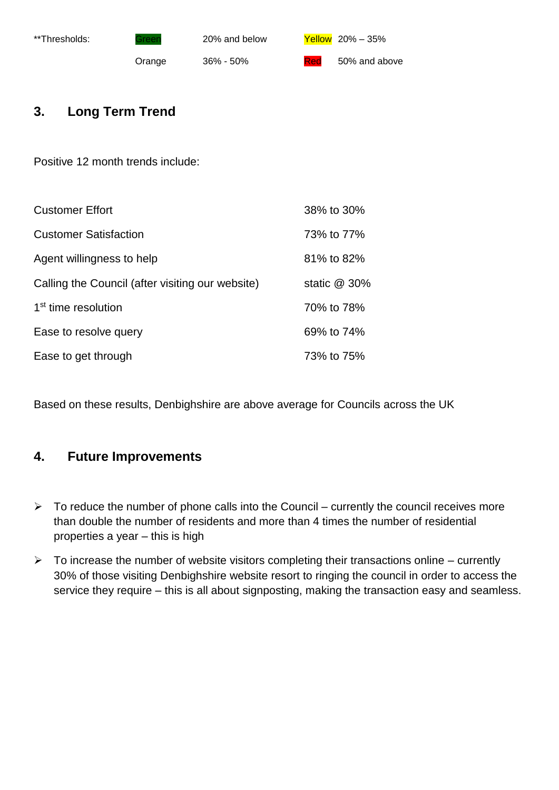

### **3. Long Term Trend**

Positive 12 month trends include:

| <b>Customer Effort</b>                           | 38% to 30%     |
|--------------------------------------------------|----------------|
| <b>Customer Satisfaction</b>                     | 73% to 77%     |
| Agent willingness to help                        | 81% to 82%     |
| Calling the Council (after visiting our website) | static $@30\%$ |
| 1 <sup>st</sup> time resolution                  | 70% to 78%     |
| Ease to resolve query                            | 69% to 74%     |
| Ease to get through                              | 73% to 75%     |

Based on these results, Denbighshire are above average for Councils across the UK

### **4. Future Improvements**

- $\triangleright$  To reduce the number of phone calls into the Council currently the council receives more than double the number of residents and more than 4 times the number of residential properties a year – this is high
- $\triangleright$  To increase the number of website visitors completing their transactions online currently 30% of those visiting Denbighshire website resort to ringing the council in order to access the service they require – this is all about signposting, making the transaction easy and seamless.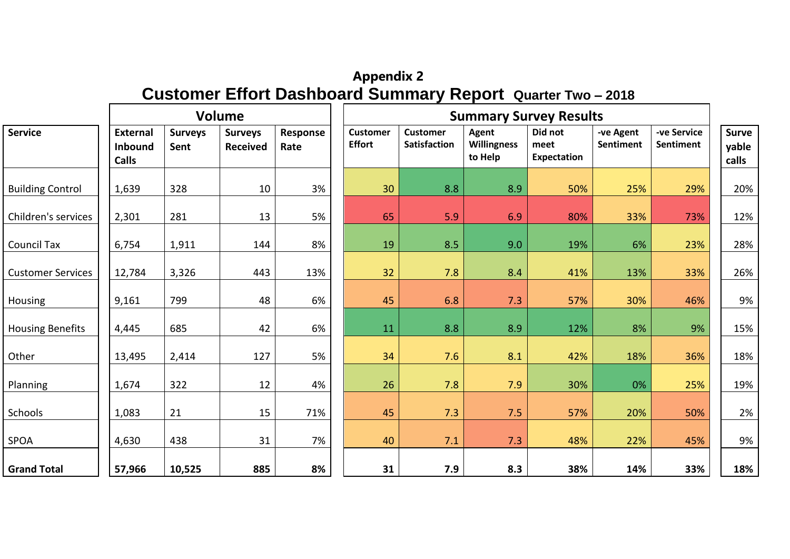# **Appendix 2 Customer Effort Dashboard Summary Report Quarter Two – 2018**

|                          |                                                   |                        | Volume                            |                  | <b>Summary Survey Results</b>    |                                        |                                 |                                |                        |                                 |                                |
|--------------------------|---------------------------------------------------|------------------------|-----------------------------------|------------------|----------------------------------|----------------------------------------|---------------------------------|--------------------------------|------------------------|---------------------------------|--------------------------------|
| <b>Service</b>           | <b>External</b><br><b>Inbound</b><br><b>Calls</b> | <b>Surveys</b><br>Sent | <b>Surveys</b><br><b>Received</b> | Response<br>Rate | <b>Customer</b><br><b>Effort</b> | <b>Customer</b><br><b>Satisfaction</b> | Agent<br>Willingness<br>to Help | Did not<br>meet<br>Expectation | -ve Agent<br>Sentiment | -ve Service<br><b>Sentiment</b> | <b>Surve</b><br>yable<br>calls |
| <b>Building Control</b>  | 1,639                                             | 328                    | 10                                | 3%               | 30                               | 8.8                                    | 8.9                             | 50%                            | 25%                    | 29%                             | 20%                            |
| Children's services      | 2,301                                             | 281                    | 13                                | 5%               | 65                               | 5.9                                    | 6.9                             | 80%                            | 33%                    | 73%                             | 12%                            |
| <b>Council Tax</b>       | 6,754                                             | 1,911                  | 144                               | 8%               | 19                               | 8.5                                    | 9.0                             | 19%                            | 6%                     | 23%                             | 28%                            |
| <b>Customer Services</b> | 12,784                                            | 3,326                  | 443                               | 13%              | 32                               | 7.8                                    | 8.4                             | 41%                            | 13%                    | 33%                             | 26%                            |
| Housing                  | 9,161                                             | 799                    | 48                                | 6%               | 45                               | 6.8                                    | 7.3                             | 57%                            | 30%                    | 46%                             | 9%                             |
| <b>Housing Benefits</b>  | 4,445                                             | 685                    | 42                                | 6%               | 11                               | 8.8                                    | 8.9                             | 12%                            | 8%                     | 9%                              | 15%                            |
| Other                    | 13,495                                            | 2,414                  | 127                               | 5%               | 34                               | 7.6                                    | 8.1                             | 42%                            | 18%                    | 36%                             | 18%                            |
| Planning                 | 1,674                                             | 322                    | 12                                | 4%               | 26                               | 7.8                                    | 7.9                             | 30%                            | 0%                     | 25%                             | 19%                            |
| Schools                  | 1,083                                             | 21                     | 15                                | 71%              | 45                               | 7.3                                    | 7.5                             | 57%                            | 20%                    | 50%                             | 2%                             |
| SPOA                     | 4,630                                             | 438                    | 31                                | 7%               | 40                               | 7.1                                    | 7.3                             | 48%                            | 22%                    | 45%                             | 9%                             |
| <b>Grand Total</b>       | 57,966                                            | 10,525                 | 885                               | 8%               | 31                               | 7.9                                    | 8.3                             | 38%                            | 14%                    | 33%                             | 18%                            |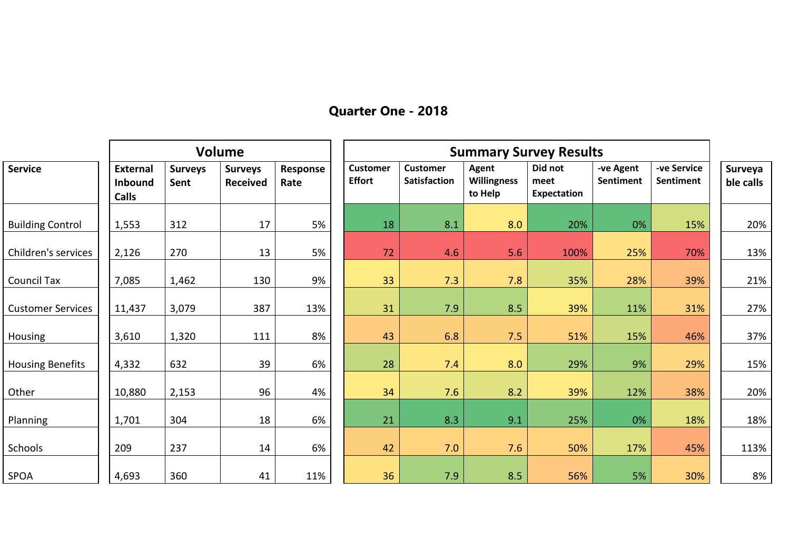# **Quarter One - 2018**

|                          |                                                   |                        | Volume                            |                  |                                  |                                 |                                        | <b>Summary Survey Results</b>         |                        |                          |                      |
|--------------------------|---------------------------------------------------|------------------------|-----------------------------------|------------------|----------------------------------|---------------------------------|----------------------------------------|---------------------------------------|------------------------|--------------------------|----------------------|
| <b>Service</b>           | <b>External</b><br><b>Inbound</b><br><b>Calls</b> | <b>Surveys</b><br>Sent | <b>Surveys</b><br><b>Received</b> | Response<br>Rate | <b>Customer</b><br><b>Effort</b> | <b>Customer</b><br>Satisfaction | Agent<br><b>Willingness</b><br>to Help | Did not<br>meet<br><b>Expectation</b> | -ve Agent<br>Sentiment | -ve Service<br>Sentiment | Surveya<br>ble calls |
| <b>Building Control</b>  | 1,553                                             | 312                    | 17                                | 5%               | 18                               | 8.1                             | 8.0                                    | 20%                                   | 0%                     | 15%                      | 20%                  |
| Children's services      | 2,126                                             | 270                    | 13                                | 5%               | 72                               | 4.6                             | 5.6                                    | 100%                                  | 25%                    | 70%                      | 13%                  |
| Council Tax              | 7,085                                             | 1,462                  | 130                               | 9%               | 33                               | 7.3                             | 7.8                                    | 35%                                   | 28%                    | 39%                      | 21%                  |
| <b>Customer Services</b> | 11,437                                            | 3,079                  | 387                               | 13%              | 31                               | 7.9                             | 8.5                                    | 39%                                   | 11%                    | 31%                      | 27%                  |
| Housing                  | 3,610                                             | 1,320                  | 111                               | 8%               | 43                               | 6.8                             | 7.5                                    | 51%                                   | 15%                    | 46%                      | 37%                  |
| <b>Housing Benefits</b>  | 4,332                                             | 632                    | 39                                | 6%               | 28                               | 7.4                             | 8.0                                    | 29%                                   | 9%                     | 29%                      | 15%                  |
| Other                    | 10,880                                            | 2,153                  | 96                                | 4%               | 34                               | 7.6                             | 8.2                                    | 39%                                   | 12%                    | 38%                      | 20%                  |
| Planning                 | 1,701                                             | 304                    | 18                                | 6%               | 21                               | 8.3                             | 9.1                                    | 25%                                   | 0%                     | 18%                      | 18%                  |
| Schools                  | 209                                               | 237                    | 14                                | 6%               | 42                               | 7.0                             | 7.6                                    | 50%                                   | 17%                    | 45%                      | 113%                 |
| <b>SPOA</b>              | 4,693                                             | 360                    | 41                                | 11%              | 36                               | 7.9                             | 8.5                                    | 56%                                   | 5%                     | 30%                      | 8%                   |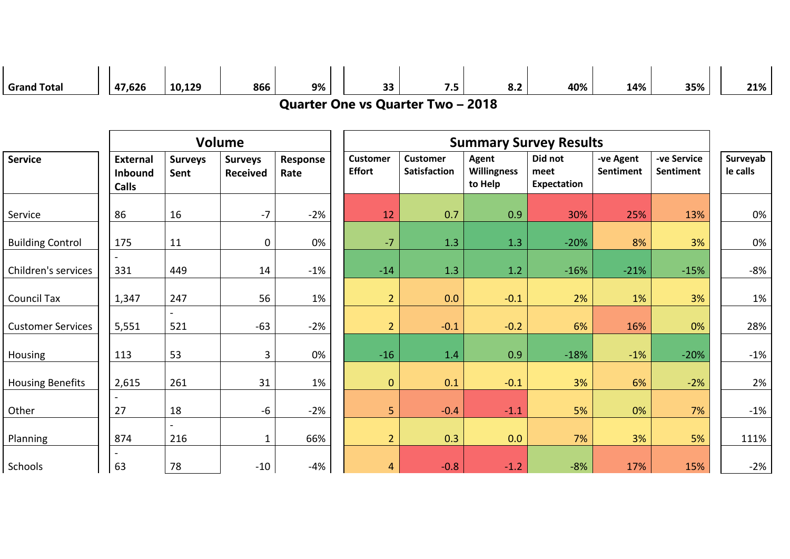| <b>Grand Total</b>       | 47,626                                            | 10,129                 | 866                               | 9%               | 33                                       | 7.5                             | 8.2                                    | 40%                            | 14%                    | 35%                             | 21%                  |
|--------------------------|---------------------------------------------------|------------------------|-----------------------------------|------------------|------------------------------------------|---------------------------------|----------------------------------------|--------------------------------|------------------------|---------------------------------|----------------------|
|                          |                                                   |                        |                                   |                  | <b>Quarter One vs Quarter Two - 2018</b> |                                 |                                        |                                |                        |                                 |                      |
|                          |                                                   |                        |                                   |                  |                                          |                                 |                                        |                                |                        |                                 |                      |
|                          |                                                   |                        | Volume                            |                  |                                          |                                 |                                        | <b>Summary Survey Results</b>  |                        |                                 |                      |
| <b>Service</b>           | <b>External</b><br><b>Inbound</b><br><b>Calls</b> | <b>Surveys</b><br>Sent | <b>Surveys</b><br><b>Received</b> | Response<br>Rate | <b>Customer</b><br><b>Effort</b>         | <b>Customer</b><br>Satisfaction | Agent<br><b>Willingness</b><br>to Help | Did not<br>meet<br>Expectation | -ve Agent<br>Sentiment | -ve Service<br><b>Sentiment</b> | Surveyab<br>le calls |
| Service                  | 86                                                | 16                     | $-7$                              | $-2%$            | 12                                       | 0.7                             | 0.9                                    | 30%                            | 25%                    | 13%                             | 0%                   |
| <b>Building Control</b>  | 175                                               | 11                     | $\mathbf 0$                       | 0%               | $-7$                                     | 1.3                             | 1.3                                    | $-20%$                         | 8%                     | 3%                              | 0%                   |
| Children's services      | 331                                               | 449                    | 14                                | $-1%$            | $-14$                                    | 1.3                             | 1.2                                    | $-16%$                         | $-21%$                 | $-15%$                          | $-8%$                |
| <b>Council Tax</b>       | 1,347                                             | 247                    | 56                                | 1%               | $\overline{2}$                           | 0.0                             | $-0.1$                                 | 2%                             | 1%                     | 3%                              | 1%                   |
| <b>Customer Services</b> | 5,551                                             | 521                    | $-63$                             | $-2%$            | $\overline{2}$                           | $-0.1$                          | $-0.2$                                 | 6%                             | 16%                    | 0%                              | 28%                  |
| Housing                  | 113                                               | 53                     | 3                                 | 0%               | $-16$                                    | 1.4                             | 0.9                                    | $-18%$                         | $-1%$                  | $-20%$                          | $-1%$                |
| <b>Housing Benefits</b>  | 2,615                                             | 261                    | 31                                | 1%               | $\pmb{0}$                                | 0.1                             | $-0.1$                                 | 3%                             | 6%                     | $-2%$                           | 2%                   |
| Other                    | 27                                                | 18                     | $-6$                              | $-2%$            | 5                                        | $-0.4$                          | $-1.1$                                 | 5%                             | 0%                     | 7%                              | $-1%$                |
| Planning                 | 874                                               | 216                    | $\mathbf{1}$                      | 66%              | $\overline{2}$                           | 0.3                             | 0.0                                    | 7%                             | 3%                     | 5%                              | 111%                 |
| Schools                  | 63                                                | 78                     | $-10$                             | $-4%$            | $\overline{4}$                           | $-0.8$                          | $-1.2$                                 | $-8%$                          | 17%                    | 15%                             | $-2%$                |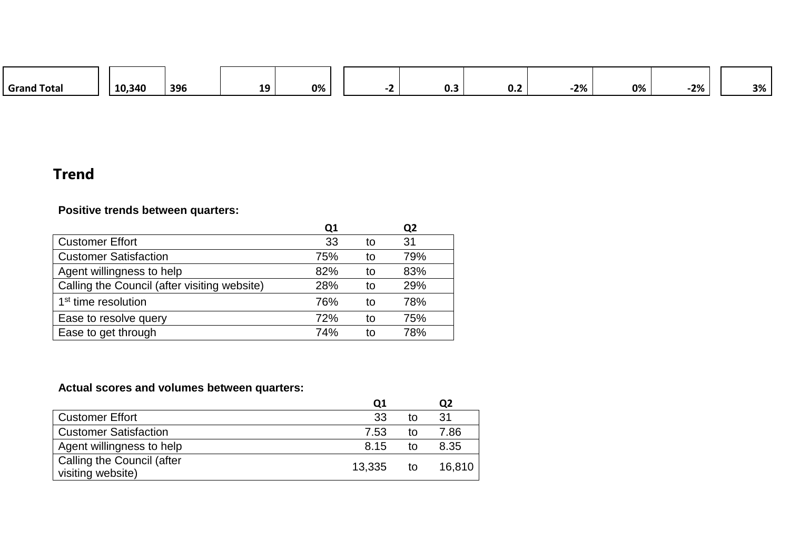| <b>Grand Total</b> | 10,340 | 396 | 10.<br>-- | 0% |  |  | v.J | v.z | 2% | 0% | $-2%$ | 3% |  |
|--------------------|--------|-----|-----------|----|--|--|-----|-----|----|----|-------|----|--|
|--------------------|--------|-----|-----------|----|--|--|-----|-----|----|----|-------|----|--|

# **Trend**

### **Positive trends between quarters:**

|                                              | Q1  |    | Q <sub>2</sub> |
|----------------------------------------------|-----|----|----------------|
| <b>Customer Effort</b>                       | 33  | to | 31             |
| <b>Customer Satisfaction</b>                 | 75% | to | 79%            |
| Agent willingness to help                    | 82% | to | 83%            |
| Calling the Council (after visiting website) | 28% | to | 29%            |
| 1 <sup>st</sup> time resolution              | 76% | to | 78%            |
| Ease to resolve query                        | 72% | to | 75%            |
| Ease to get through                          | 74% | tΩ | 78%            |

# **Actual scores and volumes between quarters:**

|        |    | Q2     |
|--------|----|--------|
| 33     | tο | 31     |
| 7.53   | tΩ | 7.86   |
| 8.15   | to | 8.35   |
| 13,335 | to | 16.810 |
|        |    |        |